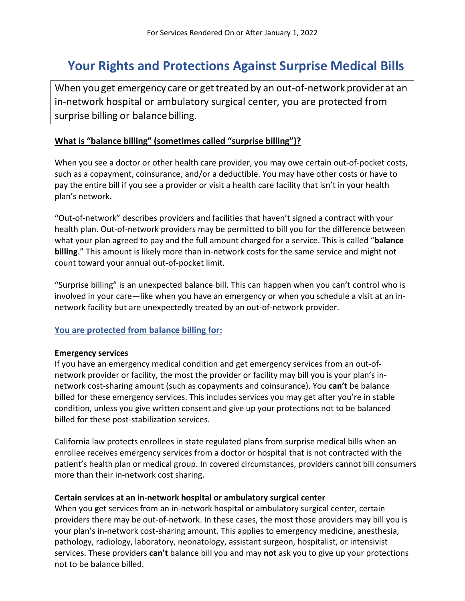# **Your Rights and Protections Against Surprise Medical Bills**

When you get emergency care or get treated by an out-of-network provider at an in-network hospital or ambulatory surgical center, you are protected from surprise billing or balance billing.

#### **What is "balance billing" (sometimes called "surprise billing")?**

When you see a doctor or other health care provider, you may owe certain out-of-pocket costs, such as a copayment, coinsurance, and/or a deductible. You may have other costs or have to pay the entire bill if you see a provider or visit a health care facility that isn't in your health plan's network.

"Out-of-network" describes providers and facilities that haven't signed a contract with your health plan. Out-of-network providers may be permitted to bill you for the difference between what your plan agreed to pay and the full amount charged for a service. This is called "**balance billing**." This amount is likely more than in-network costs for the same service and might not count toward your annual out-of-pocket limit.

"Surprise billing" is an unexpected balance bill. This can happen when you can't control who is involved in your care—like when you have an emergency or when you schedule a visit at an innetwork facility but are unexpectedly treated by an out-of-network provider.

#### **You are protected from balance billing for:**

#### **Emergency services**

If you have an emergency medical condition and get emergency services from an out-ofnetwork provider or facility, the most the provider or facility may bill you is your plan's innetwork cost-sharing amount (such as copayments and coinsurance). You **can't** be balance billed for these emergency services. This includes services you may get after you're in stable condition, unless you give written consent and give up your protections not to be balanced billed for these post-stabilization services.

California law protects enrollees in state regulated plans from surprise medical bills when an enrollee receives emergency services from a doctor or hospital that is not contracted with the patient's health plan or medical group. In covered circumstances, providers cannot bill consumers more than their in-network cost sharing.

#### **Certain services at an in-network hospital or ambulatory surgical center**

When you get services from an in-network hospital or ambulatory surgical center, certain providers there may be out-of-network. In these cases, the most those providers may bill you is your plan's in-network cost-sharing amount. This applies to emergency medicine, anesthesia, pathology, radiology, laboratory, neonatology, assistant surgeon, hospitalist, or intensivist services. These providers **can't** balance bill you and may **not** ask you to give up your protections not to be balance billed.